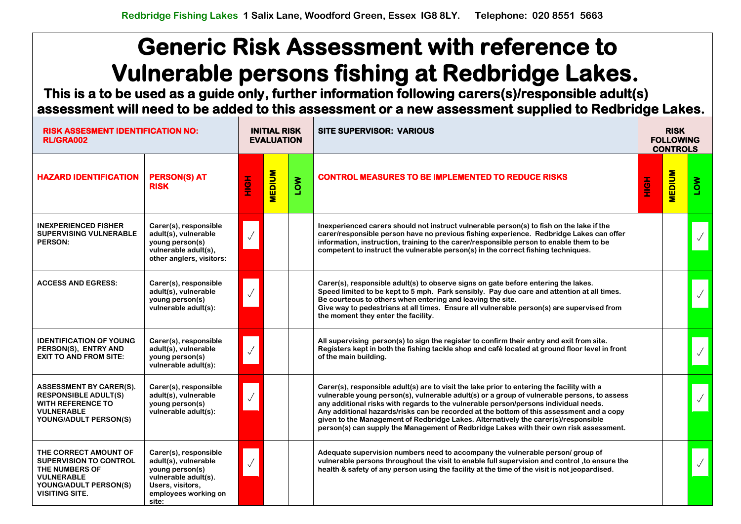**This is a to be used as a guide only, further information following carers(s)/responsible adult(s) assessment will need to be added to this assessment or a new assessment supplied to Redbridge Lakes.** 

| <b>RISK ASSESMENT IDENTIFICATION NO:</b><br><b>RL/GRA002</b>                                                                                    |                                                                                                                                               | <b>INITIAL RISK</b><br><b>EVALUATION</b> |               |            | <b>SITE SUPERVISOR: VARIOUS</b>                                                                                                                                                                                                                                                                                                                                                                                                                                                                                                                               | <b>RISK</b><br><b>FOLLOWING</b><br><b>CONTROLS</b> |               |     |  |
|-------------------------------------------------------------------------------------------------------------------------------------------------|-----------------------------------------------------------------------------------------------------------------------------------------------|------------------------------------------|---------------|------------|---------------------------------------------------------------------------------------------------------------------------------------------------------------------------------------------------------------------------------------------------------------------------------------------------------------------------------------------------------------------------------------------------------------------------------------------------------------------------------------------------------------------------------------------------------------|----------------------------------------------------|---------------|-----|--|
| <b>HAZARD IDENTIFICATION</b>                                                                                                                    | <b>PERSON(S) AT</b><br><b>RISK</b>                                                                                                            | HOH                                      | <b>MEDIUM</b> | <b>NOT</b> | <b>CONTROL MEASURES TO BE IMPLEMENTED TO REDUCE RISKS</b>                                                                                                                                                                                                                                                                                                                                                                                                                                                                                                     | HOH                                                | <b>MEDIUM</b> | ιον |  |
| <b>INEXPERIENCED FISHER</b><br><b>SUPERVISING VULNERABLE</b><br><b>PERSON:</b>                                                                  | Carer(s), responsible<br>adult(s), vulnerable<br>young person(s)<br>vulnerable adult(s),<br>other anglers, visitors:                          |                                          |               |            | Inexperienced carers should not instruct vulnerable person(s) to fish on the lake if the<br>carer/responsible person have no previous fishing experience. Redbridge Lakes can offer<br>information, instruction, training to the carer/responsible person to enable them to be<br>competent to instruct the vulnerable person(s) in the correct fishing techniques.                                                                                                                                                                                           |                                                    |               |     |  |
| <b>ACCESS AND EGRESS:</b>                                                                                                                       | Carer(s), responsible<br>adult(s), vulnerable<br>young person(s)<br>vulnerable adult(s):                                                      |                                          |               |            | Carer(s), responsible adult(s) to observe signs on gate before entering the lakes.<br>Speed limited to be kept to 5 mph. Park sensibly. Pay due care and attention at all times.<br>Be courteous to others when entering and leaving the site.<br>Give way to pedestrians at all times. Ensure all vulnerable person(s) are supervised from<br>the moment they enter the facility.                                                                                                                                                                            |                                                    |               |     |  |
| <b>IDENTIFICATION OF YOUNG</b><br>PERSON(S), ENTRY AND<br><b>EXIT TO AND FROM SITE:</b>                                                         | Carer(s), responsible<br>adult(s), vulnerable<br>young person(s)<br>vulnerable adult(s):                                                      |                                          |               |            | All supervising person(s) to sign the register to confirm their entry and exit from site.<br>Registers kept in both the fishing tackle shop and café located at ground floor level in front<br>of the main building.                                                                                                                                                                                                                                                                                                                                          |                                                    |               |     |  |
| <b>ASSESSMENT BY CARER(S).</b><br><b>RESPONSIBLE ADULT(S)</b><br><b>WITH REFERENCE TO</b><br><b>VULNERABLE</b><br>YOUNG/ADULT PERSON(S)         | Carer(s), responsible<br>adult(s), vulnerable<br>young person(s)<br>vulnerable adult(s):                                                      | $\checkmark$                             |               |            | Carer(s), responsible adult(s) are to visit the lake prior to entering the facility with a<br>vulnerable young person(s), vulnerable adult(s) or a group of vulnerable persons, to assess<br>any additional risks with regards to the vulnerable person/persons individual needs.<br>Any additional hazards/risks can be recorded at the bottom of this assessment and a copy<br>given to the Management of Redbridge Lakes. Alternatively the carer(s)/responsible<br>person(s) can supply the Management of Redbridge Lakes with their own risk assessment. |                                                    |               |     |  |
| THE CORRECT AMOUNT OF<br><b>SUPERVISION TO CONTROL</b><br>THE NUMBERS OF<br><b>VULNERABLE</b><br>YOUNG/ADULT PERSON(S)<br><b>VISITING SITE.</b> | Carer(s), responsible<br>adult(s), vulnerable<br>young person(s)<br>vulnerable adult(s).<br>Users, visitors,<br>employees working on<br>site: |                                          |               |            | Adequate supervision numbers need to accompany the vulnerable person/ group of<br>vulnerable persons throughout the visit to enable full supervision and control, to ensure the<br>health & safety of any person using the facility at the time of the visit is not jeopardised.                                                                                                                                                                                                                                                                              |                                                    |               |     |  |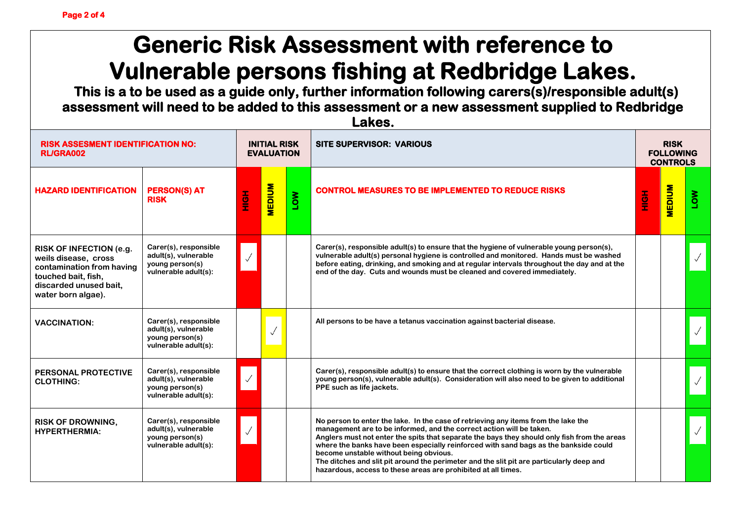**This is a to be used as a guide only, further information following carers(s)/responsible adult(s) assessment will need to be added to this assessment or a new assessment supplied to Redbridge Lakes.** 

| <b>RISK ASSESMENT IDENTIFICATION NO:</b><br><b>RL/GRA002</b>                                                                                        |                                                                                          | <b>INITIAL RISK</b><br><b>EVALUATION</b> |               |            | <b>SITE SUPERVISOR: VARIOUS</b>                                                                                                                                                                                                                                                                                                                                                                                                                                                                                                                           | <b>RISK</b><br><b>FOLLOWING</b><br><b>CONTROLS</b> |               |              |  |
|-----------------------------------------------------------------------------------------------------------------------------------------------------|------------------------------------------------------------------------------------------|------------------------------------------|---------------|------------|-----------------------------------------------------------------------------------------------------------------------------------------------------------------------------------------------------------------------------------------------------------------------------------------------------------------------------------------------------------------------------------------------------------------------------------------------------------------------------------------------------------------------------------------------------------|----------------------------------------------------|---------------|--------------|--|
| <b>HAZARD IDENTIFICATION</b>                                                                                                                        | <b>PERSON(S) AT</b><br><b>RISK</b>                                                       | <b>HOME</b>                              | <b>MEDIUM</b> | <b>NOT</b> | <b>CONTROL MEASURES TO BE IMPLEMENTED TO REDUCE RISKS</b>                                                                                                                                                                                                                                                                                                                                                                                                                                                                                                 | HộH                                                | <b>MEDIUM</b> | <b>NOT</b>   |  |
| RISK OF INFECTION (e.g.<br>weils disease, cross<br>contamination from having<br>touched bait, fish,<br>discarded unused bait,<br>water born algae). | Carer(s), responsible<br>adult(s), vulnerable<br>young person(s)<br>vulnerable adult(s): |                                          |               |            | Carer(s), responsible adult(s) to ensure that the hygiene of vulnerable young person(s),<br>vulnerable adult(s) personal hygiene is controlled and monitored. Hands must be washed<br>before eating, drinking, and smoking and at regular intervals throughout the day and at the<br>end of the day. Cuts and wounds must be cleaned and covered immediately.                                                                                                                                                                                             |                                                    |               |              |  |
| <b>VACCINATION:</b>                                                                                                                                 | Carer(s), responsible<br>adult(s), vulnerable<br>young person(s)<br>vulnerable adult(s): |                                          | $\checkmark$  |            | All persons to be have a tetanus vaccination against bacterial disease.                                                                                                                                                                                                                                                                                                                                                                                                                                                                                   |                                                    |               | $\checkmark$ |  |
| <b>PERSONAL PROTECTIVE</b><br><b>CLOTHING:</b>                                                                                                      | Carer(s), responsible<br>adult(s), vulnerable<br>young person(s)<br>vulnerable adult(s): |                                          |               |            | Carer(s), responsible adult(s) to ensure that the correct clothing is worn by the vulnerable<br>young person(s), vulnerable adult(s). Consideration will also need to be given to additional<br>PPE such as life jackets.                                                                                                                                                                                                                                                                                                                                 |                                                    |               |              |  |
| <b>RISK OF DROWNING,</b><br><b>HYPERTHERMIA:</b>                                                                                                    | Carer(s), responsible<br>adult(s), vulnerable<br>young person(s)<br>vulnerable adult(s): |                                          |               |            | No person to enter the lake. In the case of retrieving any items from the lake the<br>management are to be informed, and the correct action will be taken.<br>Anglers must not enter the spits that separate the bays they should only fish from the areas<br>where the banks have been especially reinforced with sand bags as the bankside could<br>become unstable without being obvious.<br>The ditches and slit pit around the perimeter and the slit pit are particularly deep and<br>hazardous, access to these areas are prohibited at all times. |                                                    |               |              |  |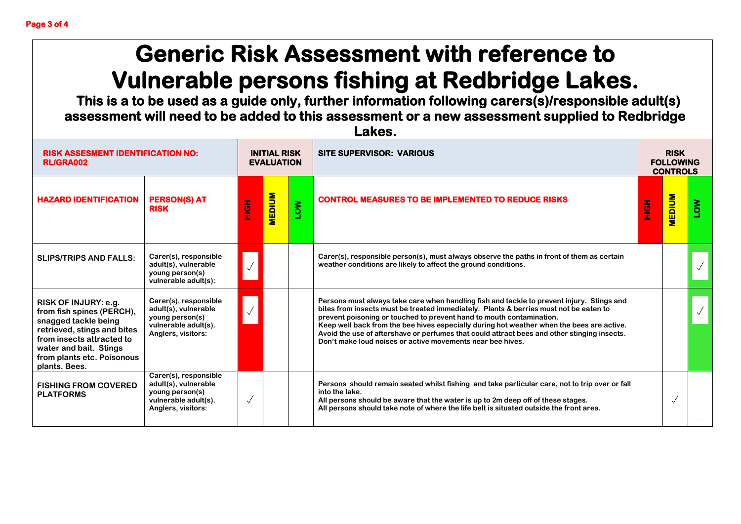**This is a to be used as a guide only, further information following carers(s)/responsible adult(s) assessment will need to be added to this assessment or a new assessment supplied to Redbridge Lakes.** 

| <b>RISK ASSESMENT IDENTIFICATION NO:</b><br><b>RL/GRA002</b>                                                                                                                                                          |                                                                                                                | <b>INITIAL RISK</b><br><b>EVALUATION</b> |               |            | <b>SITE SUPERVISOR: VARIOUS</b>                                                                                                                                                                                                                                                                                                                                                                                                                                                                                      |     | <b>RISK</b><br><b>FOLLOWING</b><br><b>CONTROLS</b> |     |
|-----------------------------------------------------------------------------------------------------------------------------------------------------------------------------------------------------------------------|----------------------------------------------------------------------------------------------------------------|------------------------------------------|---------------|------------|----------------------------------------------------------------------------------------------------------------------------------------------------------------------------------------------------------------------------------------------------------------------------------------------------------------------------------------------------------------------------------------------------------------------------------------------------------------------------------------------------------------------|-----|----------------------------------------------------|-----|
| <b>HAZARD IDENTIFICATION</b>                                                                                                                                                                                          | <b>PERSON(S) AT</b><br><b>RISK</b>                                                                             | H <sub>O</sub> H                         | <b>MEDIUM</b> | <b>NOT</b> | <b>CONTROL MEASURES TO BE IMPLEMENTED TO REDUCE RISKS</b>                                                                                                                                                                                                                                                                                                                                                                                                                                                            | HộH | <b>MEDIUM</b>                                      | NOT |
| <b>SLIPS/TRIPS AND FALLS:</b>                                                                                                                                                                                         | Carer(s), responsible<br>adult(s), vulnerable<br>young person(s)<br>vulnerable adult(s):                       | $\sqrt{2}$                               |               |            | Carer(s), responsible person(s), must always observe the paths in front of them as certain<br>weather conditions are likely to affect the ground conditions.                                                                                                                                                                                                                                                                                                                                                         |     |                                                    |     |
| <b>RISK OF INJURY: e.g.</b><br>from fish spines (PERCH),<br>snagged tackle being<br>retrieved, stings and bites<br>from insects attracted to<br>water and bait. Stings<br>from plants etc. Poisonous<br>plants. Bees. | Carer(s), responsible<br>adult(s), vulnerable<br>young person(s)<br>vulnerable adult(s).<br>Anglers, visitors: | $\sqrt{}$                                |               |            | Persons must always take care when handling fish and tackle to prevent injury. Stings and<br>bites from insects must be treated immediately. Plants & berries must not be eaten to<br>prevent poisoning or touched to prevent hand to mouth contamination.<br>Keep well back from the bee hives especially during hot weather when the bees are active.<br>Avoid the use of aftershave or perfumes that could attract bees and other stinging insects.<br>Don't make loud noises or active movements near bee hives. |     |                                                    |     |
| <b>FISHING FROM COVERED</b><br><b>PLATFORMS</b>                                                                                                                                                                       | Carer(s), responsible<br>adult(s), vulnerable<br>young person(s)<br>vulnerable adult(s).<br>Anglers, visitors: |                                          |               |            | Persons should remain seated whilst fishing and take particular care, not to trip over or fall<br>into the lake.<br>All persons should be aware that the water is up to 2m deep off of these stages.<br>All persons should take note of where the life belt is situated outside the front area.                                                                                                                                                                                                                      |     |                                                    |     |